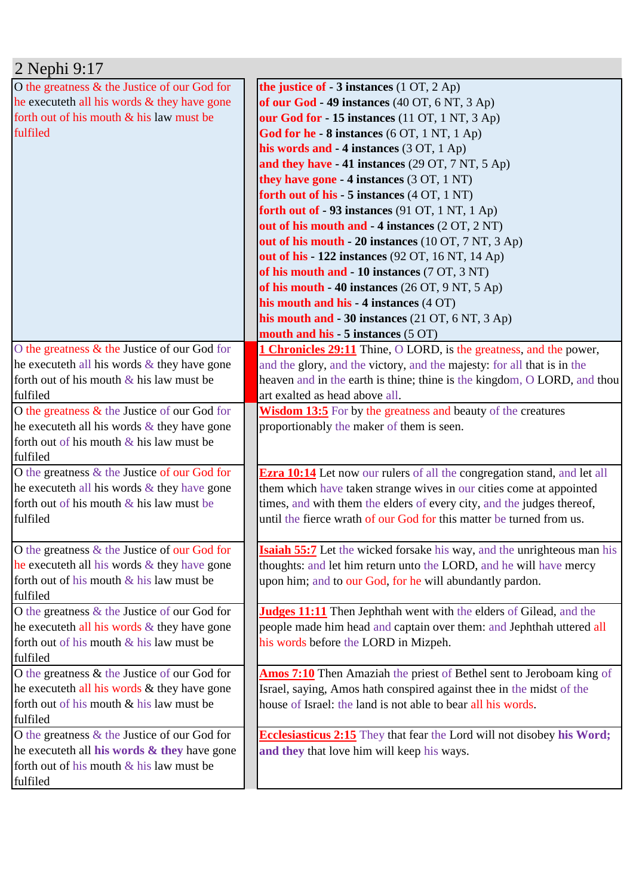| 2 Nephi 9:17                                    |                                                                                 |
|-------------------------------------------------|---------------------------------------------------------------------------------|
| O the greatness & the Justice of our God for    | the justice of $-3$ instances $(1 OT, 2 Ap)$                                    |
| he execute th all his words & they have gone    | of our God - 49 instances (40 OT, 6 NT, 3 Ap)                                   |
| forth out of his mouth & his law must be        | our God for - 15 instances (11 OT, 1 NT, 3 Ap)                                  |
| fulfiled                                        | God for he - 8 instances (6 OT, 1 NT, 1 Ap)                                     |
|                                                 | his words and - 4 instances (3 OT, 1 Ap)                                        |
|                                                 | and they have - 41 instances (29 OT, 7 NT, 5 Ap)                                |
|                                                 | they have gone $-4$ instances (3 OT, 1 NT)                                      |
|                                                 | forth out of his - 5 instances (4 OT, 1 NT)                                     |
|                                                 | forth out of -93 instances (91 OT, 1 NT, 1 Ap)                                  |
|                                                 | out of his mouth and - 4 instances (2 OT, 2 NT)                                 |
|                                                 | out of his mouth - 20 instances (10 OT, 7 NT, 3 Ap)                             |
|                                                 | out of his - 122 instances (92 OT, 16 NT, 14 Ap)                                |
|                                                 | of his mouth and - 10 instances (7 OT, 3 NT)                                    |
|                                                 | of his mouth - 40 instances (26 OT, 9 NT, 5 Ap)                                 |
|                                                 | his mouth and his - 4 instances (4 OT)                                          |
|                                                 | his mouth and $-30$ instances (21 OT, 6 NT, 3 Ap)                               |
|                                                 | mouth and his - 5 instances (5 OT)                                              |
| O the greatness & the Justice of our God for    |                                                                                 |
|                                                 | <b>1 Chronicles 29:11</b> Thine, O LORD, is the greatness, and the power,       |
| he execute th all his words $\&$ they have gone | and the glory, and the victory, and the majesty: for all that is in the         |
| forth out of his mouth $\&$ his law must be     | heaven and in the earth is thine; thine is the kingdom, O LORD, and thou        |
| fulfiled                                        | art exalted as head above all.                                                  |
| O the greatness $\&$ the Justice of our God for | <b>Wisdom 13:5</b> For by the greatness and beauty of the creatures             |
| he execute th all his words $\&$ they have gone | proportionably the maker of them is seen.                                       |
| forth out of his mouth $&$ his law must be      |                                                                                 |
| fulfiled                                        |                                                                                 |
| O the greatness $&$ the Justice of our God for  | <b>Ezra 10:14</b> Let now our rulers of all the congregation stand, and let all |
| he executeth all his words & they have gone     | them which have taken strange wives in our cities come at appointed             |
| forth out of his mouth $&$ his law must be      | times, and with them the elders of every city, and the judges thereof,          |
| fulfiled                                        | until the fierce wrath of our God for this matter be turned from us.            |
|                                                 |                                                                                 |
| O the greatness & the Justice of our God for    | <b>Isaiah 55:7</b> Let the wicked forsake his way, and the unrighteous man his  |
| he execute th all his words $\&$ they have gone | thoughts: and let him return unto the LORD, and he will have mercy              |
| forth out of his mouth $&$ his law must be      | upon him; and to our God, for he will abundantly pardon.                        |
| fulfiled                                        |                                                                                 |
| O the greatness $&$ the Justice of our God for  | <b>Judges 11:11</b> Then Jephthah went with the elders of Gilead, and the       |
| he execute th all his words $\&$ they have gone | people made him head and captain over them: and Jephthah uttered all            |
| forth out of his mouth $&$ his law must be      | his words before the LORD in Mizpeh.                                            |
| fulfiled                                        |                                                                                 |
| O the greatness & the Justice of our God for    | Amos 7:10 Then Amaziah the priest of Bethel sent to Jeroboam king of            |
| he executeth all his words & they have gone     | Israel, saying, Amos hath conspired against thee in the midst of the            |
| forth out of his mouth & his law must be        | house of Israel: the land is not able to bear all his words.                    |
| fulfiled                                        |                                                                                 |
| O the greatness & the Justice of our God for    | <b>Ecclesiasticus 2:15</b> They that fear the Lord will not disobey his Word;   |
| he executeth all his words & they have gone     | and they that love him will keep his ways.                                      |
| forth out of his mouth $&$ his law must be      |                                                                                 |
| fulfiled                                        |                                                                                 |